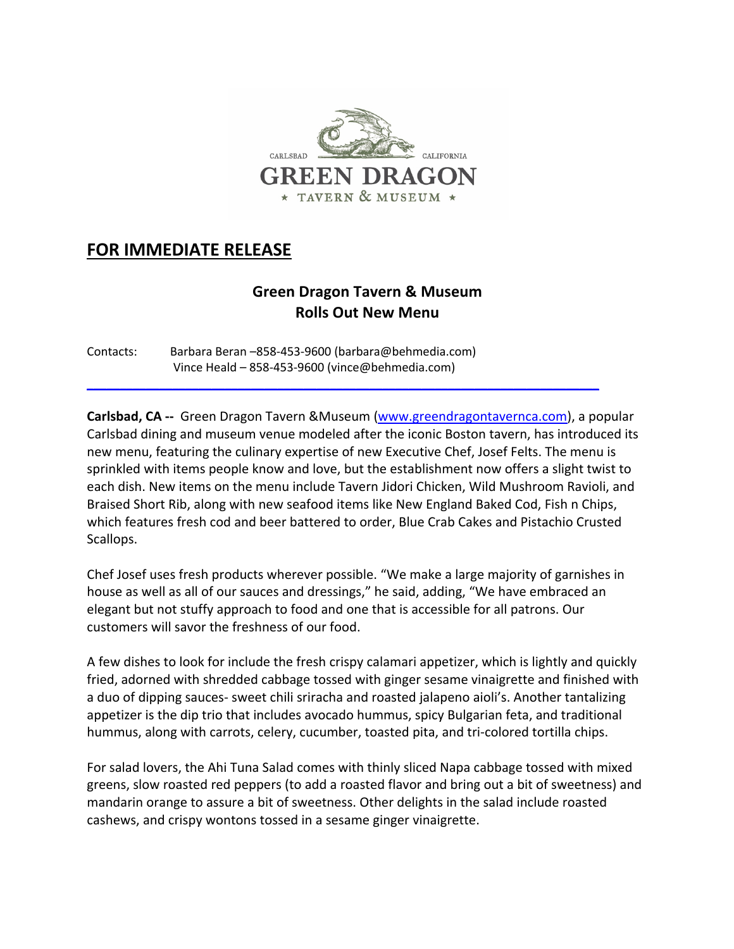

## **FOR IMMEDIATE RELEASE**

## **Green Dragon Tavern & Museum Rolls Out New Menu**

Contacts: Barbara Beran –858-453-9600 (barbara@behmedia.com) Vince Heald – 858-453-9600 (vince@behmedia.com)

**Carlsbad, CA --** Green Dragon Tavern &Museum (www.greendragontavernca.com), a popular Carlsbad dining and museum venue modeled after the iconic Boston tavern, has introduced its new menu, featuring the culinary expertise of new Executive Chef, Josef Felts. The menu is sprinkled with items people know and love, but the establishment now offers a slight twist to each dish. New items on the menu include Tavern Jidori Chicken, Wild Mushroom Ravioli, and Braised Short Rib, along with new seafood items like New England Baked Cod, Fish n Chips, which features fresh cod and beer battered to order, Blue Crab Cakes and Pistachio Crusted Scallops.

\_\_\_\_\_\_\_\_\_\_\_\_\_\_\_\_\_\_\_\_\_\_\_\_\_\_\_\_\_\_\_\_\_\_\_\_\_\_\_\_\_\_\_\_\_\_\_\_\_\_\_\_\_\_\_\_\_\_\_\_\_\_\_\_\_\_\_\_\_\_\_\_\_\_\_\_\_\_

Chef Josef uses fresh products wherever possible. "We make a large majority of garnishes in house as well as all of our sauces and dressings," he said, adding, "We have embraced an elegant but not stuffy approach to food and one that is accessible for all patrons. Our customers will savor the freshness of our food.

A few dishes to look for include the fresh crispy calamari appetizer, which is lightly and quickly fried, adorned with shredded cabbage tossed with ginger sesame vinaigrette and finished with a duo of dipping sauces- sweet chili sriracha and roasted jalapeno aioli's. Another tantalizing appetizer is the dip trio that includes avocado hummus, spicy Bulgarian feta, and traditional hummus, along with carrots, celery, cucumber, toasted pita, and tri-colored tortilla chips.

For salad lovers, the Ahi Tuna Salad comes with thinly sliced Napa cabbage tossed with mixed greens, slow roasted red peppers (to add a roasted flavor and bring out a bit of sweetness) and mandarin orange to assure a bit of sweetness. Other delights in the salad include roasted cashews, and crispy wontons tossed in a sesame ginger vinaigrette.